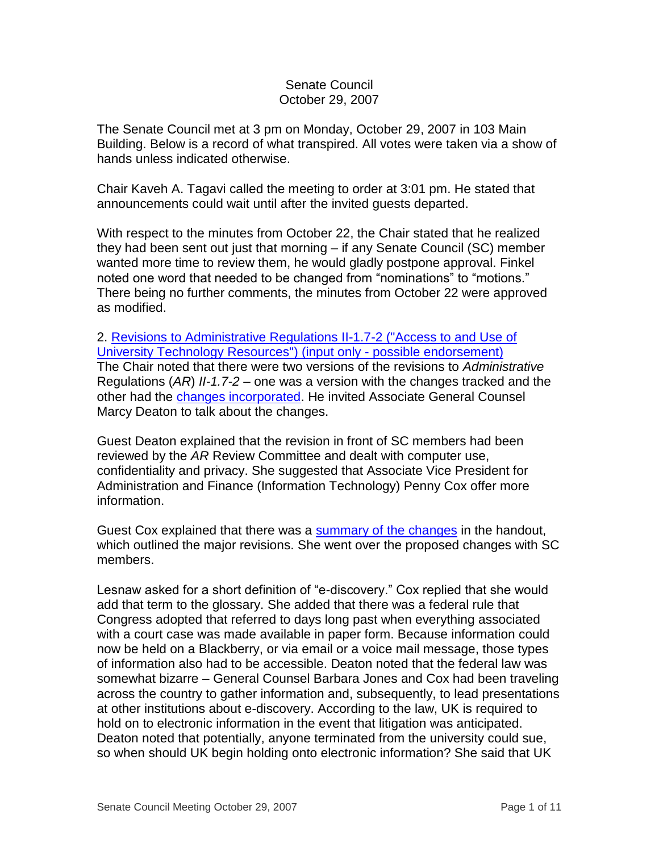## Senate Council October 29, 2007

The Senate Council met at 3 pm on Monday, October 29, 2007 in 103 Main Building. Below is a record of what transpired. All votes were taken via a show of hands unless indicated otherwise.

Chair Kaveh A. Tagavi called the meeting to order at 3:01 pm. He stated that announcements could wait until after the invited guests departed.

With respect to the minutes from October 22, the Chair stated that he realized they had been sent out just that morning – if any Senate Council (SC) member wanted more time to review them, he would gladly postpone approval. Finkel noted one word that needed to be changed from "nominations" to "motions." There being no further comments, the minutes from October 22 were approved as modified.

2. [Revisions to Administrative Regulations II-1.7-2](http://www.uky.edu/USC/New/files/20071029/AR%20II-1%207-2%20Access%20to%20and%20Use%20of%20Computing%20Resources.pdf) ("Access to and Use of [University Technology Resources"\) \(input only -](http://www.uky.edu/USC/New/files/20071029/AR%20II-1%207-2%20Access%20to%20and%20Use%20of%20Computing%20Resources.pdf) possible endorsement) The Chair noted that there were two versions of the revisions to *Administrative*  Regulations (*AR*) *II-1.7-2* – one was a version with the changes tracked and the other had the [changes incorporated.](http://www.uky.edu/USC/New/files/20071029/AR%20II-1%207-2_clean%20-%20no%20track.pdf) He invited Associate General Counsel Marcy Deaton to talk about the changes.

Guest Deaton explained that the revision in front of SC members had been reviewed by the *AR* Review Committee and dealt with computer use, confidentiality and privacy. She suggested that Associate Vice President for Administration and Finance (Information Technology) Penny Cox offer more information.

Guest Cox explained that there was a [summary of the changes](http://www.uky.edu/USC/New/files/20071029/AR%20II-1%207%202%20SUMMARY%20of%20Proposed%20AR%20Changes%20May%202007.pdf) in the handout, which outlined the major revisions. She went over the proposed changes with SC members.

Lesnaw asked for a short definition of "e-discovery." Cox replied that she would add that term to the glossary. She added that there was a federal rule that Congress adopted that referred to days long past when everything associated with a court case was made available in paper form. Because information could now be held on a Blackberry, or via email or a voice mail message, those types of information also had to be accessible. Deaton noted that the federal law was somewhat bizarre – General Counsel Barbara Jones and Cox had been traveling across the country to gather information and, subsequently, to lead presentations at other institutions about e-discovery. According to the law, UK is required to hold on to electronic information in the event that litigation was anticipated. Deaton noted that potentially, anyone terminated from the university could sue, so when should UK begin holding onto electronic information? She said that UK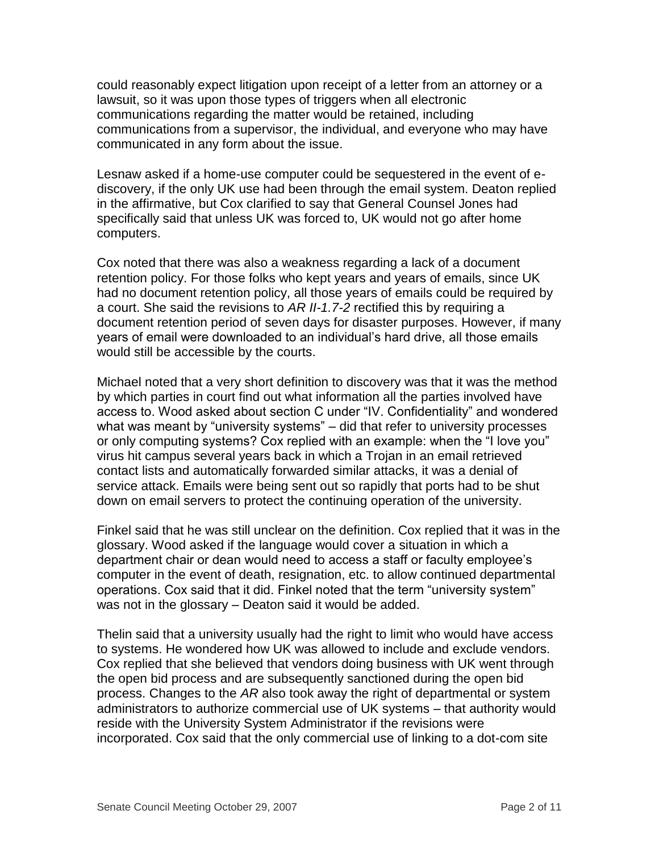could reasonably expect litigation upon receipt of a letter from an attorney or a lawsuit, so it was upon those types of triggers when all electronic communications regarding the matter would be retained, including communications from a supervisor, the individual, and everyone who may have communicated in any form about the issue.

Lesnaw asked if a home-use computer could be sequestered in the event of ediscovery, if the only UK use had been through the email system. Deaton replied in the affirmative, but Cox clarified to say that General Counsel Jones had specifically said that unless UK was forced to, UK would not go after home computers.

Cox noted that there was also a weakness regarding a lack of a document retention policy. For those folks who kept years and years of emails, since UK had no document retention policy, all those years of emails could be required by a court. She said the revisions to *AR II-1.7-2* rectified this by requiring a document retention period of seven days for disaster purposes. However, if many years of email were downloaded to an individual's hard drive, all those emails would still be accessible by the courts.

Michael noted that a very short definition to discovery was that it was the method by which parties in court find out what information all the parties involved have access to. Wood asked about section C under "IV. Confidentiality" and wondered what was meant by "university systems" – did that refer to university processes or only computing systems? Cox replied with an example: when the "I love you" virus hit campus several years back in which a Trojan in an email retrieved contact lists and automatically forwarded similar attacks, it was a denial of service attack. Emails were being sent out so rapidly that ports had to be shut down on email servers to protect the continuing operation of the university.

Finkel said that he was still unclear on the definition. Cox replied that it was in the glossary. Wood asked if the language would cover a situation in which a department chair or dean would need to access a staff or faculty employee's computer in the event of death, resignation, etc. to allow continued departmental operations. Cox said that it did. Finkel noted that the term "university system" was not in the glossary – Deaton said it would be added.

Thelin said that a university usually had the right to limit who would have access to systems. He wondered how UK was allowed to include and exclude vendors. Cox replied that she believed that vendors doing business with UK went through the open bid process and are subsequently sanctioned during the open bid process. Changes to the *AR* also took away the right of departmental or system administrators to authorize commercial use of UK systems – that authority would reside with the University System Administrator if the revisions were incorporated. Cox said that the only commercial use of linking to a dot-com site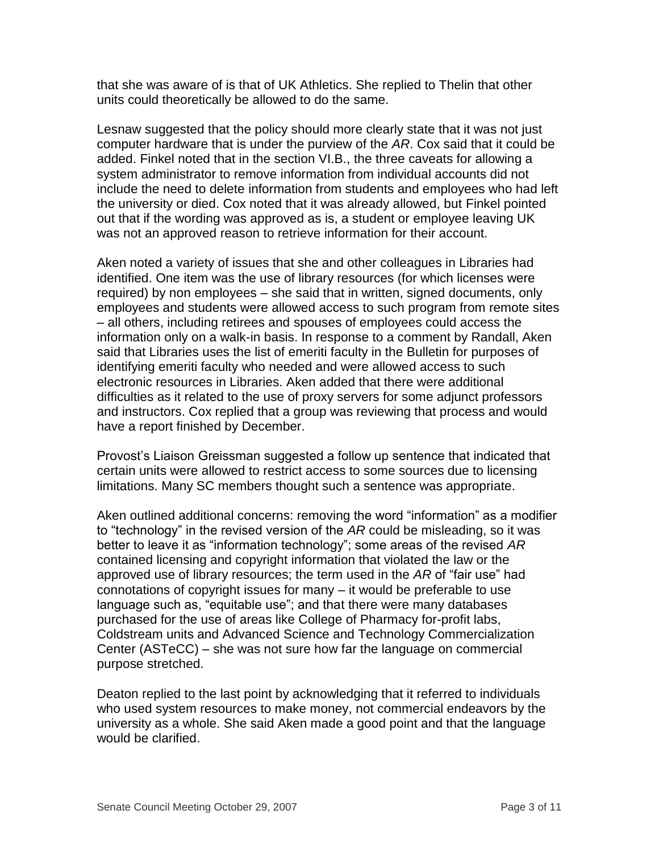that she was aware of is that of UK Athletics. She replied to Thelin that other units could theoretically be allowed to do the same.

Lesnaw suggested that the policy should more clearly state that it was not just computer hardware that is under the purview of the *AR*. Cox said that it could be added. Finkel noted that in the section VI.B., the three caveats for allowing a system administrator to remove information from individual accounts did not include the need to delete information from students and employees who had left the university or died. Cox noted that it was already allowed, but Finkel pointed out that if the wording was approved as is, a student or employee leaving UK was not an approved reason to retrieve information for their account.

Aken noted a variety of issues that she and other colleagues in Libraries had identified. One item was the use of library resources (for which licenses were required) by non employees – she said that in written, signed documents, only employees and students were allowed access to such program from remote sites – all others, including retirees and spouses of employees could access the information only on a walk-in basis. In response to a comment by Randall, Aken said that Libraries uses the list of emeriti faculty in the Bulletin for purposes of identifying emeriti faculty who needed and were allowed access to such electronic resources in Libraries. Aken added that there were additional difficulties as it related to the use of proxy servers for some adjunct professors and instructors. Cox replied that a group was reviewing that process and would have a report finished by December.

Provost's Liaison Greissman suggested a follow up sentence that indicated that certain units were allowed to restrict access to some sources due to licensing limitations. Many SC members thought such a sentence was appropriate.

Aken outlined additional concerns: removing the word "information" as a modifier to "technology" in the revised version of the *AR* could be misleading, so it was better to leave it as "information technology"; some areas of the revised *AR* contained licensing and copyright information that violated the law or the approved use of library resources; the term used in the *AR* of "fair use" had connotations of copyright issues for many – it would be preferable to use language such as, "equitable use"; and that there were many databases purchased for the use of areas like College of Pharmacy for-profit labs, Coldstream units and Advanced Science and Technology Commercialization Center (ASTeCC) – she was not sure how far the language on commercial purpose stretched.

Deaton replied to the last point by acknowledging that it referred to individuals who used system resources to make money, not commercial endeavors by the university as a whole. She said Aken made a good point and that the language would be clarified.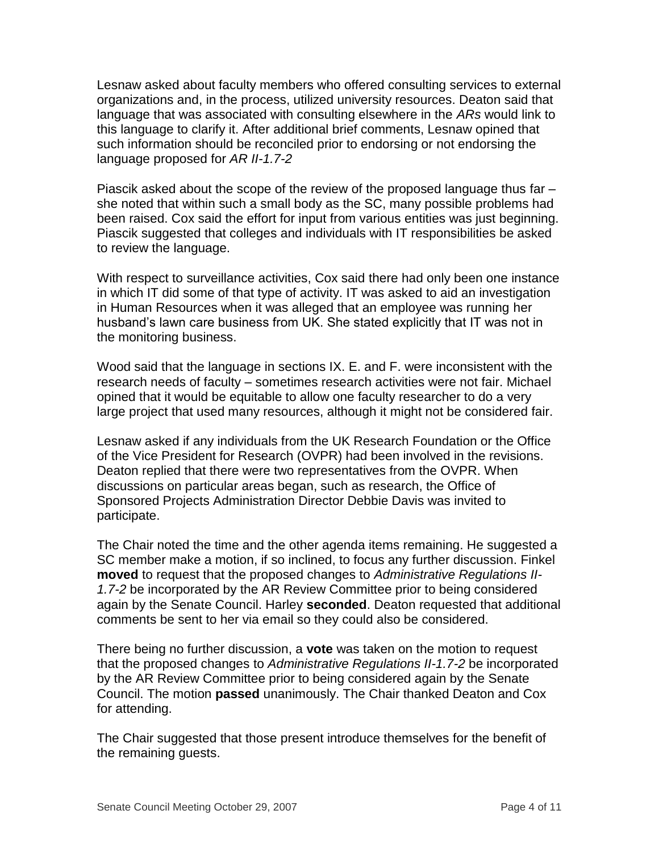Lesnaw asked about faculty members who offered consulting services to external organizations and, in the process, utilized university resources. Deaton said that language that was associated with consulting elsewhere in the *ARs* would link to this language to clarify it. After additional brief comments, Lesnaw opined that such information should be reconciled prior to endorsing or not endorsing the language proposed for *AR II-1.7-2*

Piascik asked about the scope of the review of the proposed language thus far – she noted that within such a small body as the SC, many possible problems had been raised. Cox said the effort for input from various entities was just beginning. Piascik suggested that colleges and individuals with IT responsibilities be asked to review the language.

With respect to surveillance activities, Cox said there had only been one instance in which IT did some of that type of activity. IT was asked to aid an investigation in Human Resources when it was alleged that an employee was running her husband's lawn care business from UK. She stated explicitly that IT was not in the monitoring business.

Wood said that the language in sections IX. E. and F. were inconsistent with the research needs of faculty – sometimes research activities were not fair. Michael opined that it would be equitable to allow one faculty researcher to do a very large project that used many resources, although it might not be considered fair.

Lesnaw asked if any individuals from the UK Research Foundation or the Office of the Vice President for Research (OVPR) had been involved in the revisions. Deaton replied that there were two representatives from the OVPR. When discussions on particular areas began, such as research, the Office of Sponsored Projects Administration Director Debbie Davis was invited to participate.

The Chair noted the time and the other agenda items remaining. He suggested a SC member make a motion, if so inclined, to focus any further discussion. Finkel **moved** to request that the proposed changes to *Administrative Regulations II-1.7-2* be incorporated by the AR Review Committee prior to being considered again by the Senate Council. Harley **seconded**. Deaton requested that additional comments be sent to her via email so they could also be considered.

There being no further discussion, a **vote** was taken on the motion to request that the proposed changes to *Administrative Regulations II-1.7-2* be incorporated by the AR Review Committee prior to being considered again by the Senate Council. The motion **passed** unanimously. The Chair thanked Deaton and Cox for attending.

The Chair suggested that those present introduce themselves for the benefit of the remaining guests.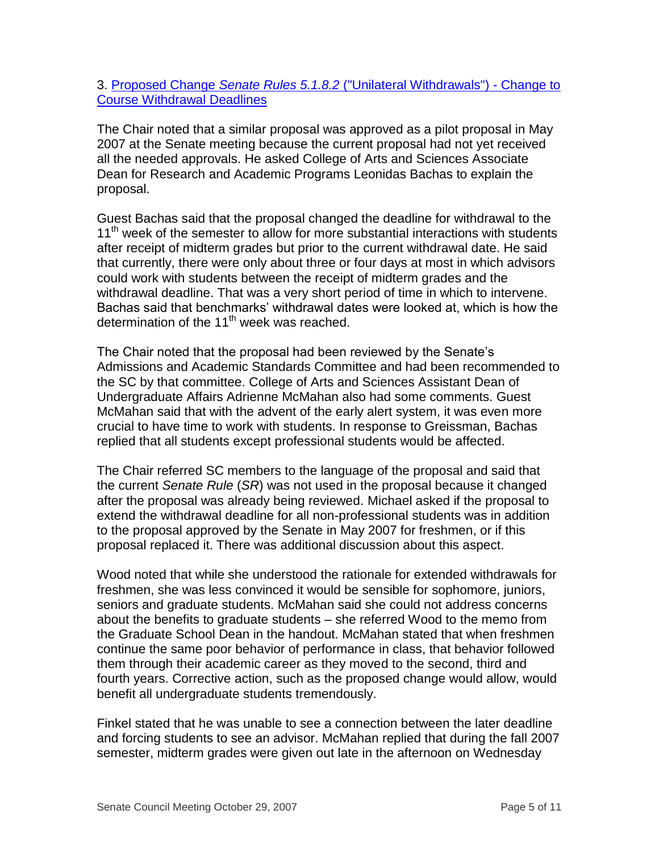## 3. Proposed Change *Senate Rules 5.1.8.2* [\("Unilateral Withdrawals"\) -](http://www.uky.edu/USC/New/files/20071029/Course%20Withdrawal%20Deadline%20Change_Complete_TO%20SC.pdf) Change to [Course Withdrawal Deadlines](http://www.uky.edu/USC/New/files/20071029/Course%20Withdrawal%20Deadline%20Change_Complete_TO%20SC.pdf)

The Chair noted that a similar proposal was approved as a pilot proposal in May 2007 at the Senate meeting because the current proposal had not yet received all the needed approvals. He asked College of Arts and Sciences Associate Dean for Research and Academic Programs Leonidas Bachas to explain the proposal.

Guest Bachas said that the proposal changed the deadline for withdrawal to the 11<sup>th</sup> week of the semester to allow for more substantial interactions with students after receipt of midterm grades but prior to the current withdrawal date. He said that currently, there were only about three or four days at most in which advisors could work with students between the receipt of midterm grades and the withdrawal deadline. That was a very short period of time in which to intervene. Bachas said that benchmarks' withdrawal dates were looked at, which is how the determination of the  $11<sup>th</sup>$  week was reached.

The Chair noted that the proposal had been reviewed by the Senate's Admissions and Academic Standards Committee and had been recommended to the SC by that committee. College of Arts and Sciences Assistant Dean of Undergraduate Affairs Adrienne McMahan also had some comments. Guest McMahan said that with the advent of the early alert system, it was even more crucial to have time to work with students. In response to Greissman, Bachas replied that all students except professional students would be affected.

The Chair referred SC members to the language of the proposal and said that the current *Senate Rule* (*SR*) was not used in the proposal because it changed after the proposal was already being reviewed. Michael asked if the proposal to extend the withdrawal deadline for all non-professional students was in addition to the proposal approved by the Senate in May 2007 for freshmen, or if this proposal replaced it. There was additional discussion about this aspect.

Wood noted that while she understood the rationale for extended withdrawals for freshmen, she was less convinced it would be sensible for sophomore, juniors, seniors and graduate students. McMahan said she could not address concerns about the benefits to graduate students – she referred Wood to the memo from the Graduate School Dean in the handout. McMahan stated that when freshmen continue the same poor behavior of performance in class, that behavior followed them through their academic career as they moved to the second, third and fourth years. Corrective action, such as the proposed change would allow, would benefit all undergraduate students tremendously.

Finkel stated that he was unable to see a connection between the later deadline and forcing students to see an advisor. McMahan replied that during the fall 2007 semester, midterm grades were given out late in the afternoon on Wednesday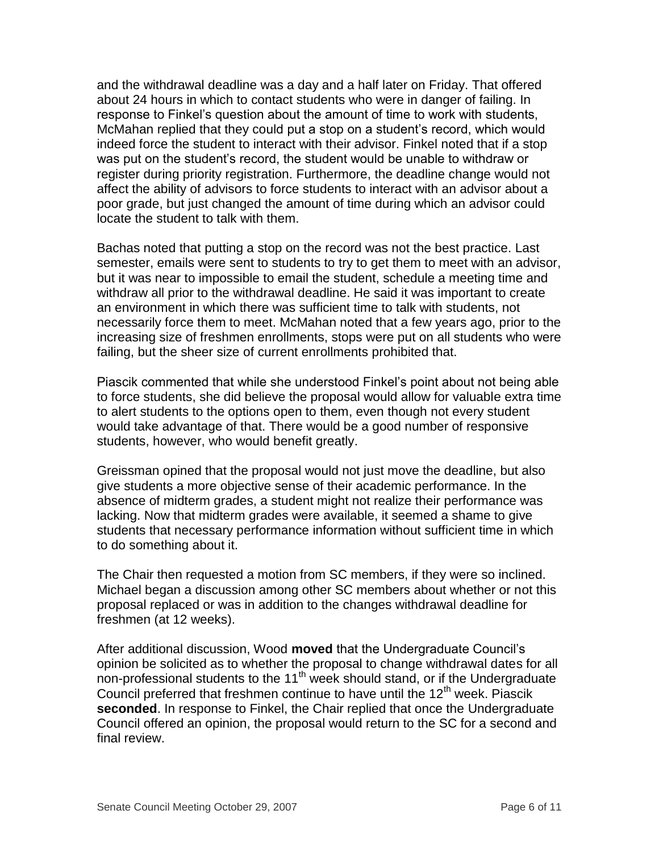and the withdrawal deadline was a day and a half later on Friday. That offered about 24 hours in which to contact students who were in danger of failing. In response to Finkel's question about the amount of time to work with students, McMahan replied that they could put a stop on a student's record, which would indeed force the student to interact with their advisor. Finkel noted that if a stop was put on the student's record, the student would be unable to withdraw or register during priority registration. Furthermore, the deadline change would not affect the ability of advisors to force students to interact with an advisor about a poor grade, but just changed the amount of time during which an advisor could locate the student to talk with them.

Bachas noted that putting a stop on the record was not the best practice. Last semester, emails were sent to students to try to get them to meet with an advisor, but it was near to impossible to email the student, schedule a meeting time and withdraw all prior to the withdrawal deadline. He said it was important to create an environment in which there was sufficient time to talk with students, not necessarily force them to meet. McMahan noted that a few years ago, prior to the increasing size of freshmen enrollments, stops were put on all students who were failing, but the sheer size of current enrollments prohibited that.

Piascik commented that while she understood Finkel's point about not being able to force students, she did believe the proposal would allow for valuable extra time to alert students to the options open to them, even though not every student would take advantage of that. There would be a good number of responsive students, however, who would benefit greatly.

Greissman opined that the proposal would not just move the deadline, but also give students a more objective sense of their academic performance. In the absence of midterm grades, a student might not realize their performance was lacking. Now that midterm grades were available, it seemed a shame to give students that necessary performance information without sufficient time in which to do something about it.

The Chair then requested a motion from SC members, if they were so inclined. Michael began a discussion among other SC members about whether or not this proposal replaced or was in addition to the changes withdrawal deadline for freshmen (at 12 weeks).

After additional discussion, Wood **moved** that the Undergraduate Council's opinion be solicited as to whether the proposal to change withdrawal dates for all non-professional students to the 11<sup>th</sup> week should stand, or if the Undergraduate Council preferred that freshmen continue to have until the  $12<sup>th</sup>$  week. Piascik **seconded**. In response to Finkel, the Chair replied that once the Undergraduate Council offered an opinion, the proposal would return to the SC for a second and final review.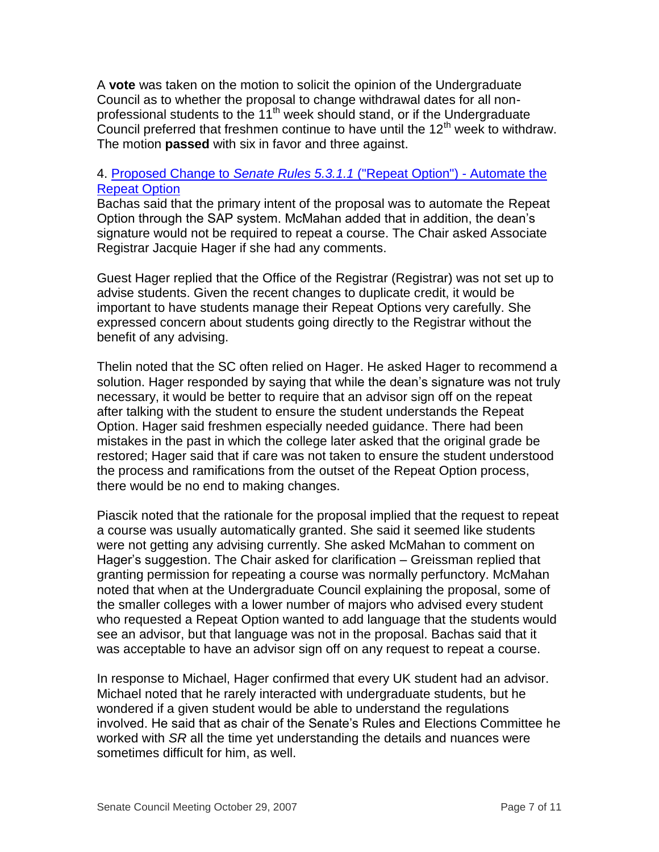A **vote** was taken on the motion to solicit the opinion of the Undergraduate Council as to whether the proposal to change withdrawal dates for all nonprofessional students to the 11<sup>th</sup> week should stand, or if the Undergraduate Council preferred that freshmen continue to have until the  $12<sup>th</sup>$  week to withdraw. The motion **passed** with six in favor and three against.

## 4. [Proposed Change to](http://www.uky.edu/USC/New/files/20071029/Automate%20Repeat%20Option%20Process_Complete_TO%20SC.pdf) *Senate Rules 5.3.1.1* ("Repeat Option") - Automate the [Repeat Option](http://www.uky.edu/USC/New/files/20071029/Automate%20Repeat%20Option%20Process_Complete_TO%20SC.pdf)

Bachas said that the primary intent of the proposal was to automate the Repeat Option through the SAP system. McMahan added that in addition, the dean's signature would not be required to repeat a course. The Chair asked Associate Registrar Jacquie Hager if she had any comments.

Guest Hager replied that the Office of the Registrar (Registrar) was not set up to advise students. Given the recent changes to duplicate credit, it would be important to have students manage their Repeat Options very carefully. She expressed concern about students going directly to the Registrar without the benefit of any advising.

Thelin noted that the SC often relied on Hager. He asked Hager to recommend a solution. Hager responded by saying that while the dean's signature was not truly necessary, it would be better to require that an advisor sign off on the repeat after talking with the student to ensure the student understands the Repeat Option. Hager said freshmen especially needed guidance. There had been mistakes in the past in which the college later asked that the original grade be restored; Hager said that if care was not taken to ensure the student understood the process and ramifications from the outset of the Repeat Option process, there would be no end to making changes.

Piascik noted that the rationale for the proposal implied that the request to repeat a course was usually automatically granted. She said it seemed like students were not getting any advising currently. She asked McMahan to comment on Hager's suggestion. The Chair asked for clarification – Greissman replied that granting permission for repeating a course was normally perfunctory. McMahan noted that when at the Undergraduate Council explaining the proposal, some of the smaller colleges with a lower number of majors who advised every student who requested a Repeat Option wanted to add language that the students would see an advisor, but that language was not in the proposal. Bachas said that it was acceptable to have an advisor sign off on any request to repeat a course.

In response to Michael, Hager confirmed that every UK student had an advisor. Michael noted that he rarely interacted with undergraduate students, but he wondered if a given student would be able to understand the regulations involved. He said that as chair of the Senate's Rules and Elections Committee he worked with *SR* all the time yet understanding the details and nuances were sometimes difficult for him, as well.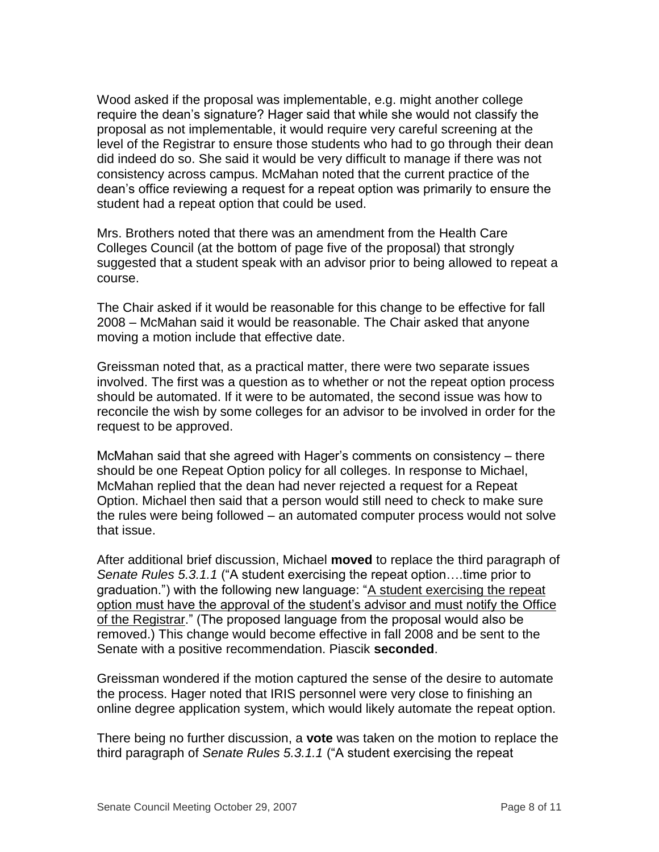Wood asked if the proposal was implementable, e.g. might another college require the dean's signature? Hager said that while she would not classify the proposal as not implementable, it would require very careful screening at the level of the Registrar to ensure those students who had to go through their dean did indeed do so. She said it would be very difficult to manage if there was not consistency across campus. McMahan noted that the current practice of the dean's office reviewing a request for a repeat option was primarily to ensure the student had a repeat option that could be used.

Mrs. Brothers noted that there was an amendment from the Health Care Colleges Council (at the bottom of page five of the proposal) that strongly suggested that a student speak with an advisor prior to being allowed to repeat a course.

The Chair asked if it would be reasonable for this change to be effective for fall 2008 – McMahan said it would be reasonable. The Chair asked that anyone moving a motion include that effective date.

Greissman noted that, as a practical matter, there were two separate issues involved. The first was a question as to whether or not the repeat option process should be automated. If it were to be automated, the second issue was how to reconcile the wish by some colleges for an advisor to be involved in order for the request to be approved.

McMahan said that she agreed with Hager's comments on consistency – there should be one Repeat Option policy for all colleges. In response to Michael, McMahan replied that the dean had never rejected a request for a Repeat Option. Michael then said that a person would still need to check to make sure the rules were being followed – an automated computer process would not solve that issue.

After additional brief discussion, Michael **moved** to replace the third paragraph of *Senate Rules 5.3.1.1* ("A student exercising the repeat option….time prior to graduation.") with the following new language: "A student exercising the repeat option must have the approval of the student's advisor and must notify the Office of the Registrar." (The proposed language from the proposal would also be removed.) This change would become effective in fall 2008 and be sent to the Senate with a positive recommendation. Piascik **seconded**.

Greissman wondered if the motion captured the sense of the desire to automate the process. Hager noted that IRIS personnel were very close to finishing an online degree application system, which would likely automate the repeat option.

There being no further discussion, a **vote** was taken on the motion to replace the third paragraph of *Senate Rules 5.3.1.1* ("A student exercising the repeat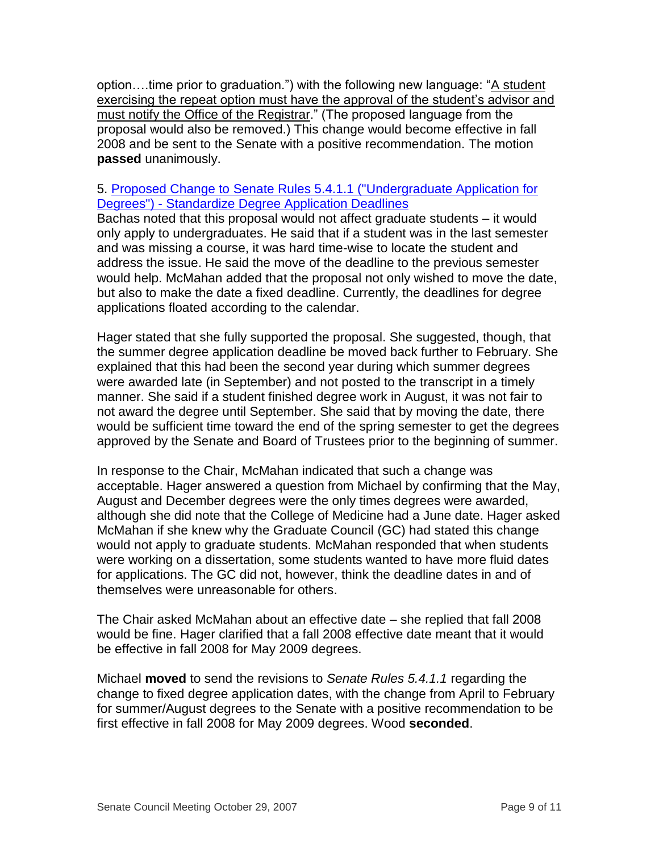option....time prior to graduation.") with the following new language: "A student exercising the repeat option must have the approval of the student's advisor and must notify the Office of the Registrar." (The proposed language from the proposal would also be removed.) This change would become effective in fall 2008 and be sent to the Senate with a positive recommendation. The motion **passed** unanimously.

## 5. [Proposed Change to Senate Rules 5.4.1.1](http://www.uky.edu/USC/New/files/20071029/Standardize%20Degree%20App%20Deadline_Complete_TO%20SC.pdf) ("Undergraduate Application for Degrees") - [Standardize Degree Application Deadlines](http://www.uky.edu/USC/New/files/20071029/Standardize%20Degree%20App%20Deadline_Complete_TO%20SC.pdf)

Bachas noted that this proposal would not affect graduate students – it would only apply to undergraduates. He said that if a student was in the last semester and was missing a course, it was hard time-wise to locate the student and address the issue. He said the move of the deadline to the previous semester would help. McMahan added that the proposal not only wished to move the date, but also to make the date a fixed deadline. Currently, the deadlines for degree applications floated according to the calendar.

Hager stated that she fully supported the proposal. She suggested, though, that the summer degree application deadline be moved back further to February. She explained that this had been the second year during which summer degrees were awarded late (in September) and not posted to the transcript in a timely manner. She said if a student finished degree work in August, it was not fair to not award the degree until September. She said that by moving the date, there would be sufficient time toward the end of the spring semester to get the degrees approved by the Senate and Board of Trustees prior to the beginning of summer.

In response to the Chair, McMahan indicated that such a change was acceptable. Hager answered a question from Michael by confirming that the May, August and December degrees were the only times degrees were awarded, although she did note that the College of Medicine had a June date. Hager asked McMahan if she knew why the Graduate Council (GC) had stated this change would not apply to graduate students. McMahan responded that when students were working on a dissertation, some students wanted to have more fluid dates for applications. The GC did not, however, think the deadline dates in and of themselves were unreasonable for others.

The Chair asked McMahan about an effective date – she replied that fall 2008 would be fine. Hager clarified that a fall 2008 effective date meant that it would be effective in fall 2008 for May 2009 degrees.

Michael **moved** to send the revisions to *Senate Rules 5.4.1.1* regarding the change to fixed degree application dates, with the change from April to February for summer/August degrees to the Senate with a positive recommendation to be first effective in fall 2008 for May 2009 degrees. Wood **seconded**.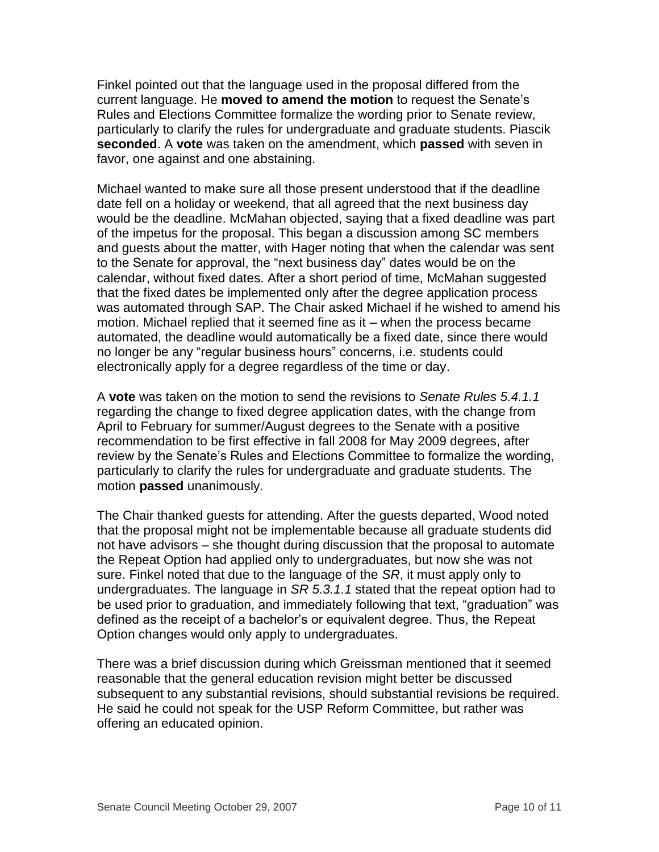Finkel pointed out that the language used in the proposal differed from the current language. He **moved to amend the motion** to request the Senate's Rules and Elections Committee formalize the wording prior to Senate review, particularly to clarify the rules for undergraduate and graduate students. Piascik **seconded**. A **vote** was taken on the amendment, which **passed** with seven in favor, one against and one abstaining.

Michael wanted to make sure all those present understood that if the deadline date fell on a holiday or weekend, that all agreed that the next business day would be the deadline. McMahan objected, saying that a fixed deadline was part of the impetus for the proposal. This began a discussion among SC members and guests about the matter, with Hager noting that when the calendar was sent to the Senate for approval, the "next business day" dates would be on the calendar, without fixed dates. After a short period of time, McMahan suggested that the fixed dates be implemented only after the degree application process was automated through SAP. The Chair asked Michael if he wished to amend his motion. Michael replied that it seemed fine as it – when the process became automated, the deadline would automatically be a fixed date, since there would no longer be any "regular business hours" concerns, i.e. students could electronically apply for a degree regardless of the time or day.

A **vote** was taken on the motion to send the revisions to *Senate Rules 5.4.1.1* regarding the change to fixed degree application dates, with the change from April to February for summer/August degrees to the Senate with a positive recommendation to be first effective in fall 2008 for May 2009 degrees, after review by the Senate's Rules and Elections Committee to formalize the wording, particularly to clarify the rules for undergraduate and graduate students. The motion **passed** unanimously.

The Chair thanked guests for attending. After the guests departed, Wood noted that the proposal might not be implementable because all graduate students did not have advisors – she thought during discussion that the proposal to automate the Repeat Option had applied only to undergraduates, but now she was not sure. Finkel noted that due to the language of the *SR*, it must apply only to undergraduates. The language in *SR 5.3.1.1* stated that the repeat option had to be used prior to graduation, and immediately following that text, "graduation" was defined as the receipt of a bachelor's or equivalent degree. Thus, the Repeat Option changes would only apply to undergraduates.

There was a brief discussion during which Greissman mentioned that it seemed reasonable that the general education revision might better be discussed subsequent to any substantial revisions, should substantial revisions be required. He said he could not speak for the USP Reform Committee, but rather was offering an educated opinion.